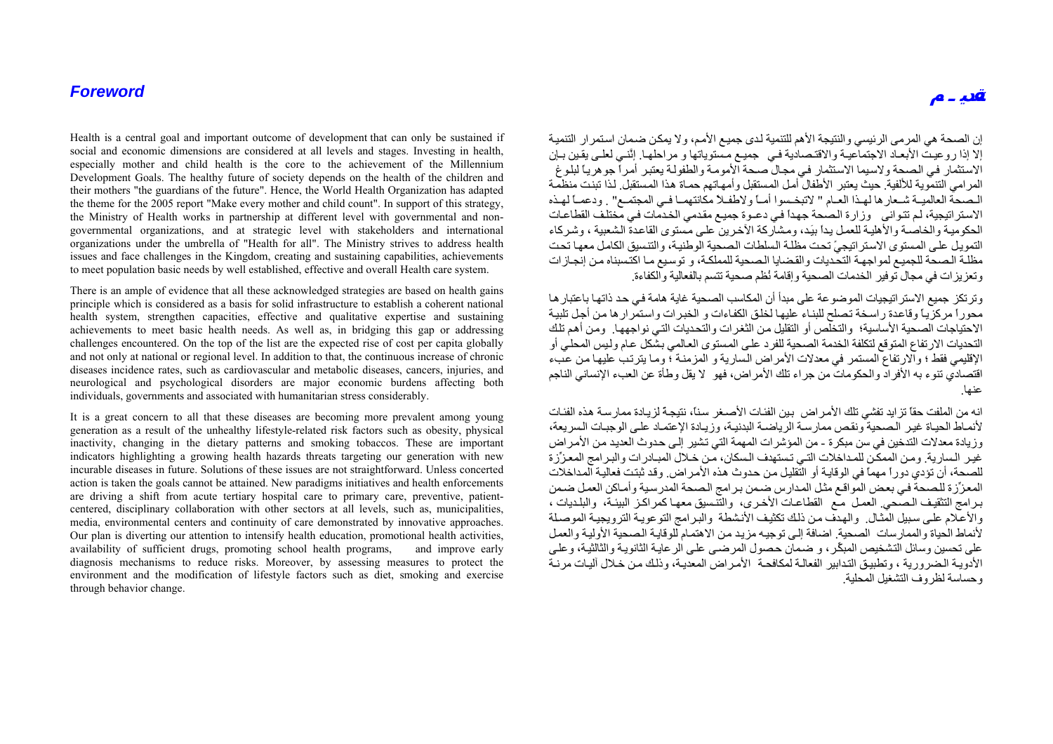## *Foreword*

Health is a central goal and important outcome of development that can only be sustained if social and economic dimensions are considered at all levels and stages. Investing in health, especially mother and child health is the core to the achievement of the Millennium Development Goals. The healthy future of society depends on the health of the children and their mothers "the guardians of the future". Hence, the World Health Organization has adapted the theme for the 2005 report "Make every mother and child count". In support of this strategy, the Ministry of Health works in partnership at different level with governmental and nongovernmental organizations, and at strategic level with stakeholders and international organizations under the umbrella of "Health for all". The Ministry strives to address health issues and face challenges in the Kingdom, creating and sustaining capabilities, achievements to meet population basic needs by well established, effective and overall Health care system.

There is an ample of evidence that all these acknowledged strategies are based on health gains principle which is considered as a basis for solid infrastructure to establish a coherent national health system, strengthen capacities, effective and qualitative expertise and sustaining achievements to meet basic health needs. As well as, in bridging this gap or addressing challenges encountered. On the top of the list are the expected rise of cost per capita globally and not only at national or regional level. In addition to that, the continuous increase of chronic diseases incidence rates, such as cardiovascular and metabolic diseases, cancers, injuries, and neurological and psychological disorders are major economic burdens affecting both individuals, governments and associated with humanitarian stress considerably.

It is a great concern to all that these diseases are becoming more prevalent among young generation as a result of the unhealthy lifestyle-related risk factors such as obesity, physical inactivity, changing in the dietary patterns and smoking tobaccos. These are important indicators highlighting a growing health hazards threats targeting our generation with new incurable diseases in future. Solutions of these issues are not straightforward. Unless concerted action is taken the goals cannot be attained. New paradigms initiatives and health enforcements are driving a shift from acute tertiary hospital care to primary care, preventive, patientcentered, disciplinary collaboration with other sectors at all levels, such as, municipalities, media, environmental centers and continuity of care demonstrated by innovative approaches. Our plan is diverting our attention to intensify health education, promotional health activities, availability of sufficient drugs, promoting school health programs, and improve early diagnosis mechanisms to reduce risks. Moreover, by assessing measures to protect the environment and the modification of lifestyle factors such as diet, smoking and exercise through behavior change.

إن الصحة هي المر مي الرئيسي و النتيجة الأهم للتنمية لدى جميع الأمم، و لا يمكن ضمان استمر ار التنمية إلا إذا روعيت الأبعـاد الاجتماعيـة والاقتـصادية فيه جميع مستوياتها و مراحلها ائنّيه لعليه بقين بيان الاستثمار في الصحة ولاسيما الاستثمار في مجال صحة الأمومة والطفولة يعتبر أمراً جوهرياً لبلوغ المر امي التنموية للألفية. حيث يعتبر الأطفال أمل المستقبل و أمهاتهم حماة هذا المستقبل. لذا تبنت منظمة المصحة العالميـة شـعارها لهـذا العـام " لاتبخـسوا أمـاً ولاطفـلاً مكانتهمـا فـي المجتمـع" . ودعمـاً لهـذه الاستراتيجية، لم تتوانى وزارة الصحة جهداً في دعـوة جميـع مقدمي الخدمات فـي مختلف القطاعات الحكومية والخاصـة والأهلية للعمل يداً بيَد، ومشاركة الآخرين على مستوى القاعدة الشعبية ، وشركاء التمويل على المستوى الاستر اتيجيً تحت مظلة السلطات الصحية الوطنية، والتنسيق الكامل معها تحت مظلة الصحة للجميع لمواجهة التحديات والقضايا الصحية للمملكة، و توسيع مـا اكتسبناه من إنجازات وتعزيزات في مجال توفير الخدمات الصحية وإقامة نُظم صحية تتسم بالفعالية والكفاءة.

وتر تكز جميع الاستر اتيجيات الموضوعة على مبدأ أن المكاسب الصحية غاية هامة في حد ذاتها باعتبار ها ر<br>محوراً مركز بـاً وقاعدة راسخة تصلح للبنـاء عليها لخلق الكفـاءات و الخبرات واستمرار ها من أجل تلبيـة الاحتياجات الصحية الأساسية؛ والتخلص أو التقليل من الثغرات والتحديات التي نواجهها. ومن أهم تلك التحديات الار تفاع المتوقع لتكلفة الخدمة الصحية للفرد على المستوى العالمي بشكل عـام و ليس المحلي أو الإقليمي فقط ؛ والار تفاع المستمر في معدلات الأمر اُض السارية و المزمنـة ؛ ومـا يترتب عليها من عبءَ اقتصادي تنوء به الأفراد والحكومات من جراء تلك الأمراض، فهو لا يقل وطأة عن العبء الإنساني الناجم عنها.

انه من الملفت حقاً تزايد تفشي تلك الأمراض بين الفئات الأصـغر سناً، نتيجـهً لزيـادة ممارسـة هذه الفئـات لأنمـاط الحيـاة غير الـصحية ونقص ممارسـة الرياضـة البدنيـة، وزيـادة الإعتمـاد علـى الوجبـات الـسريعة، وز يادة معدلات التدخين في سن مبكر ة - من المؤشر ات المهمة التي تشير إلى حدوث العديد من الأمر اض غير السارية. ومن الممكّن للمداخلات التي تستهدف السكان، من خلال المبـادر ات والبر امج المعزِّزة للصحة، أن تؤدي دوراً مهماً في الوقايـة أو التقليل من حدوث هذه الأمراض. وقد ثبتت فعاليـة المداخلات المعزِّزة للصحة في بعض المواقع مثل المدارس ضمن برامج الصحة المدرسية وأماكن العمل ضمن برامج التثقيف الـصحي. العمل مـع القطاعـات الأخـرى، والتنسيق معهـا كمر اكـز البيئـة، والبلـديات ، والأعلام على سبيل المثال. والهدف من ذلك تكثيف الأنشطة والبرامج التوعويـة الترويجيـة الموصلة لأنماط الحياة والممارسات الصحية. اضافة إلى توجيه مزيد من الاهتمام للوقاية الصحية الأولية والعمل على تحسين وسائل التشخيص المبكِّر، و ضمان حصول المرضى على الرعايـة الثانويـة والثالثيـة، وعلى الأدويـة الـضرورية ، وتطبيق التدابير الفعالـة لمكافحـة الأمر اض المعديـة، وذلك مـن خـلال آليـات مرنـة وحساسة لظروف التشغيل المحلية.